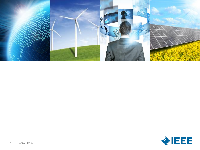

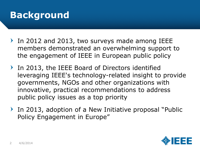# **Background**

- In 2012 and 2013, two surveys made among IEEE members demonstrated an overwhelming support to the engagement of IEEE in European public policy
- In 2013, the IEEE Board of Directors identified leveraging IEEE's technology-related insight to provide governments, NGOs and other organizations with innovative, practical recommendations to address public policy issues as a top priority
- In 2013, adoption of a New Initiative proposal "Public Policy Engagement in Europe"

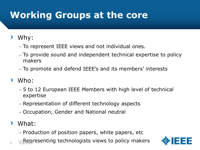# **Working Groups at the core**

### Why:

- To represent IEEE views and not individual ones.
- To provide sound and independent technical expertise to policy makers
- To promote and defend IEEE's and its members' interests
- Who:
	- 5 to 12 European IEEE Members with high level of technical expertise
	- Representation of different technology aspects
	- Occupation, Gender and National neutral
- $\blacktriangleright$ What:
	- Production of position papers, white papers, etc
- $\frac{1}{3}$   $\frac{1}{4/6}$  Representing technologists views to policy makers

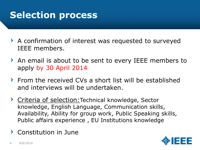# **Selection process**

- A confirmation of interest was requested to surveyed IEEE members.
- An email is about to be sent to every IEEE members to apply by 30 April 2014
- From the received CVs a short list will be established and interviews will be undertaken.
- Criteria of selection: Technical knowledge, Sector knowledge, English Language, Communication skills, Availability, Ability for group work, Public Speaking skills, Public affairs experience , EU Institutions knowledge
- Constitution in June

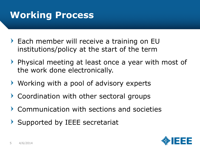# **Working Process**

- Each member will receive a training on EU institutions/policy at the start of the term
- Physical meeting at least once a year with most of the work done electronically.
- Working with a pool of advisory experts
- Coordination with other sectoral groups
- Communication with sections and societies
- Supported by IEEE secretariat

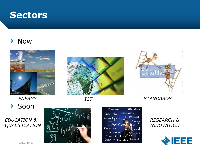## **Sectors**

#### Now  $\blacktriangleright$







Soon  $\blacktriangleright$ 

### *EDUCATION & QUALIFICATION*



Alteration Discovery Creativity Inspiration Experiment Technology Idea Change Innovat **B**n Research Improvement Development Analysis<br>Concept Invention<br>Decision Prototype Science

#### *RESEARCH & INNOVATION*

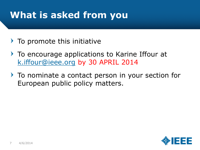# **What is asked from you**

- $\triangleright$  To promote this initiative
- To encourage applications to Karine Iffour at [k.iffour@ieee.org](mailto:k.iffour@ieee.org) by 30 APRIL 2014
- To nominate a contact person in your section for European public policy matters.